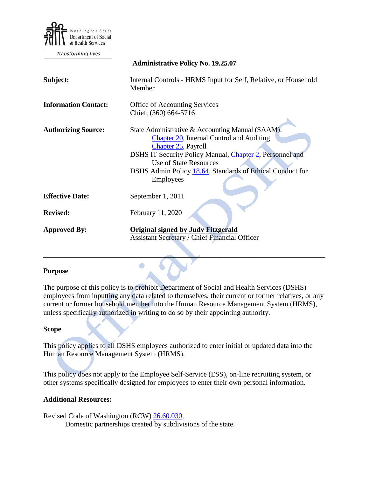

Transforming lives

| <b>Administrative Policy No. 19.25.07</b>                                                                                                                                                                                                                                                                  |
|------------------------------------------------------------------------------------------------------------------------------------------------------------------------------------------------------------------------------------------------------------------------------------------------------------|
| Internal Controls - HRMS Input for Self, Relative, or Household<br>Member                                                                                                                                                                                                                                  |
| Office of Accounting Services                                                                                                                                                                                                                                                                              |
| Chief, (360) 664-5716                                                                                                                                                                                                                                                                                      |
| State Administrative & Accounting Manual (SAAM):<br><b>Chapter 20</b> , Internal Control and Auditing<br>Chapter 25, Payroll<br>DSHS IT Security Policy Manual, Chapter 2, Personnel and<br><b>Use of State Resources</b><br>DSHS Admin Policy 18.64, Standards of Ethical Conduct for<br><b>Employees</b> |
| September 1, 2011                                                                                                                                                                                                                                                                                          |
| February 11, 2020                                                                                                                                                                                                                                                                                          |
| <b>Original signed by Judy Fitzgerald</b><br><b>Assistant Secretary / Chief Financial Officer</b>                                                                                                                                                                                                          |
|                                                                                                                                                                                                                                                                                                            |

#### **Purpose**

The purpose of this policy is to prohibit Department of Social and Health Services (DSHS) employees from inputting any data related to themselves, their current or former relatives, or any current or former household member into the Human Resource Management System (HRMS), unless specifically authorized in writing to do so by their appointing authority.

\_\_\_\_\_\_\_\_\_\_\_\_\_\_\_\_\_\_\_\_\_\_\_\_\_\_\_\_\_\_\_\_\_\_\_\_\_\_\_\_\_\_\_\_\_\_\_\_\_\_\_\_\_\_\_\_\_\_\_\_\_\_\_\_\_\_\_\_\_\_\_\_\_\_\_\_\_\_

#### **Scope**

This policy applies to all DSHS employees authorized to enter initial or updated data into the Human Resource Management System (HRMS).

This policy does not apply to the Employee Self-Service (ESS), on-line recruiting system, or other systems specifically designed for employees to enter their own personal information.

#### **Additional Resources:**

Revised Code of Washington (RCW) [26.60.030,](http://apps.leg.wa.gov/rcw/default.aspx?cite=26.60.060) Domestic partnerships created by subdivisions of the state.

 $\bullet$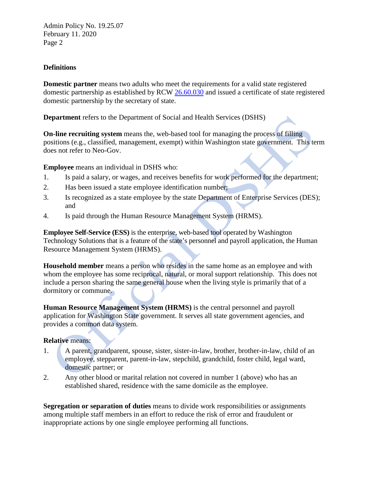Admin Policy No. 19.25.07 February 11. 2020 Page 2

# **Definitions**

**Domestic partner** means two adults who meet the requirements for a valid state registered domestic partnership as established by RCW [26.60.030](http://apps.leg.wa.gov/RCW/default.aspx?cite=26.60.030) and issued a certificate of state registered domestic partnership by the secretary of state.

**Department** refers to the Department of Social and Health Services (DSHS)

**On-line recruiting system** means the, web-based tool for managing the process of filling positions (e.g., classified, management, exempt) within Washington state government. This term does not refer to Neo-Gov.

**Employee** means an individual in DSHS who:

- 1. Is paid a salary, or wages, and receives benefits for work performed for the department;
- 2. Has been issued a state employee identification number;
- 3. Is recognized as a state employee by the state Department of Enterprise Services (DES); and
- 4. Is paid through the Human Resource Management System (HRMS).

**Employee Self-Service (ESS)** is the enterprise, web-based tool operated by Washington Technology Solutions that is a feature of the state's personnel and payroll application, the Human Resource Management System (HRMS).

**Household member** means a person who resides in the same home as an employee and with whom the employee has some reciprocal, natural, or moral support relationship. This does not include a person sharing the same general house when the living style is primarily that of a dormitory or commune.

**Human Resource Management System (HRMS)** is the central personnel and payroll application for Washington State government. It serves all state government agencies, and provides a common data system.

# **Relative** means:

- 1. A parent, grandparent, spouse, sister, sister-in-law, brother, brother-in-law, child of an employee, stepparent, parent-in-law, stepchild, grandchild, foster child, legal ward, domestic partner; or
- 2. Any other blood or marital relation not covered in number 1 (above) who has an established shared, residence with the same domicile as the employee.

**Segregation or separation of duties** means to divide work responsibilities or assignments among multiple staff members in an effort to reduce the risk of error and fraudulent or inappropriate actions by one single employee performing all functions.